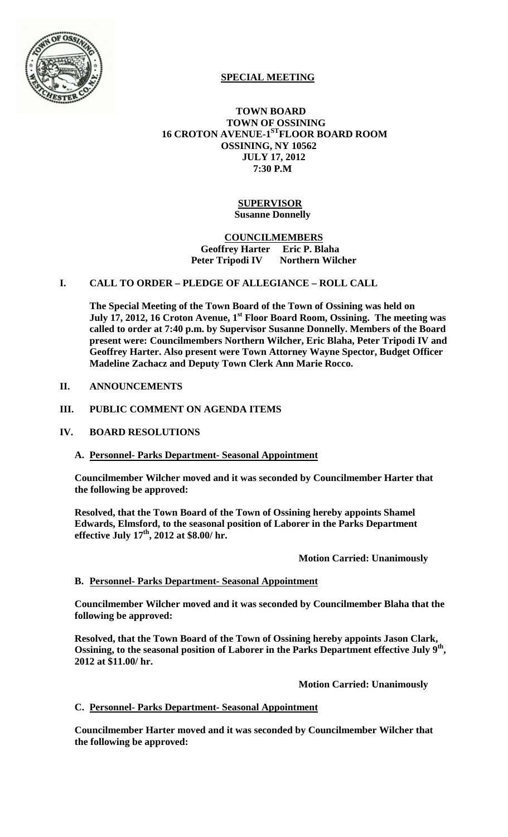

# **SPECIAL MEETING**

 **TOWN BOARD TOWN OF OSSINING 16 CROTON AVENUE-1STFLOOR BOARD ROOM OSSINING, NY 10562 JULY 17, 2012 7:30 P.M**

## **SUPERVISOR Susanne Donnelly**

#### **COUNCILMEMBERS Geoffrey Harter Eric P. Blaha Peter Tripodi IV Northern Wilcher**

## **I. CALL TO ORDER – PLEDGE OF ALLEGIANCE – ROLL CALL**

**The Special Meeting of the Town Board of the Town of Ossining was held on**  July 17, 2012, 16 Croton Avenue, 1<sup>st</sup> Floor Board Room, Ossining. The meeting was **called to order at 7:40 p.m. by Supervisor Susanne Donnelly. Members of the Board present were: Councilmembers Northern Wilcher, Eric Blaha, Peter Tripodi IV and Geoffrey Harter. Also present were Town Attorney Wayne Spector, Budget Officer Madeline Zachacz and Deputy Town Clerk Ann Marie Rocco.**

## **II. ANNOUNCEMENTS**

## **III. PUBLIC COMMENT ON AGENDA ITEMS**

#### **IV. BOARD RESOLUTIONS**

**A. Personnel- Parks Department- Seasonal Appointment**

**Councilmember Wilcher moved and it was seconded by Councilmember Harter that the following be approved:**

**Resolved, that the Town Board of the Town of Ossining hereby appoints Shamel Edwards, Elmsford, to the seasonal position of Laborer in the Parks Department effective July 17th, 2012 at \$8.00/ hr.**

**Motion Carried: Unanimously**

## **B. Personnel- Parks Department- Seasonal Appointment**

**Councilmember Wilcher moved and it was seconded by Councilmember Blaha that the following be approved:**

**Resolved, that the Town Board of the Town of Ossining hereby appoints Jason Clark, Ossining, to the seasonal position of Laborer in the Parks Department effective July 9th, 2012 at \$11.00/ hr.**

**Motion Carried: Unanimously**

#### **C. Personnel- Parks Department- Seasonal Appointment**

**Councilmember Harter moved and it was seconded by Councilmember Wilcher that the following be approved:**